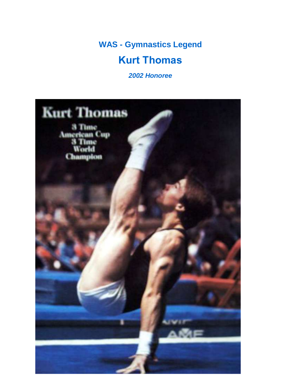**WAS - Gymnastics Legend**

# **Kurt Thomas**

*2002 Honoree*

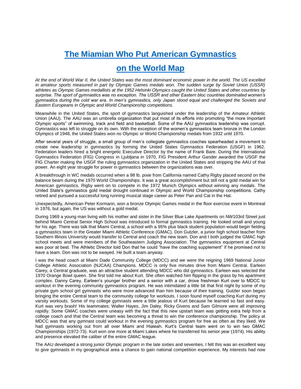## **The Miamian Who Put American Gymnastics**

### **on the World Map**

*At the end of World War II, the United States was the most dominant economic power in the world. The US excelled in amateur sports measured in part by Olympic Games medals won. The sudden surge by Soviet Union (USSR) athletes as Olympic Games medallists at the 1952 Helsinki Olympics caught the United States and other countries by surprise. The sport of gymnastics was no exception. The USSR and other Eastern bloc countries dominated women's gymnastics during the cold war era. In men's gymnastics, only Japan stood equal and challenged the Soviets and Eastern Europeans in Olympic and World Championship competitions.*

Meanwhile in the United States, the sport of gymnastics languished under the leadership of the Amateur Athletic Union (AAU). The AAU was an umbrella organization that put most of its efforts into promoting "the more important Olympic sports" of swimming, track and field and basketball. Some of the AAU gymnastics leadership was corrupt. Gymnastics was left to struggle on its own. With the exception of the women's gymnastics team bronze in the London Olympics of 1948, the United States won no Olympic or World Championship medals from 1932 until 1970.

After several years of struggle, a small group of men's collegiate gymnastics coaches spearheaded a movement to create new leadership in gymnastics by forming the United States Gymnastics Federation (USGF) in 1962. Federation leaders hired a bright energetic Executive Director by the name of Frank Bare. During the International Gymnastics Federation (FIG) Congress in Ljubljana in 1970, FIG President Arthur Gander awarded the USGF the FIG Charter making the USGF the ruling gymnastics organization in the United States and stripping the AAU of that power. An eight year struggle for power in gymnastics between the organizations was over.

A breakthrough in WC medals occurred when a 98 lb. pixie from California named Cathy Rigby placed second on the balance beam during the 1970 World Championships. It was a great accomplishment but still not a gold medal win for American gymnastics. Rigby went on to compete in the 1972 Munich Olympics without winning any medals. The United State's gymnastics gold medal drought continued in Olympic and World Championship competitions. Cathy retired and pursued a successful long running musical stage career as Peter Pan and Cat in the Hat.

Unexpectedly, American Peter Kormann, won a bronze Olympic Games medal in the floor exercise event in Montreal in 1976, but again, the US was without a gold medal.

During 1969 a young man living with his mother and sister in the Silver Blue Lake Apartments on NW103rd Street just behind Miami Central Senior High School was introduced to formal gymnastics training. He looked small and young for his age. There was talk that Miami Central, a school with a 95% plus black student population would begin fielding a gymnastics team in the Greater Miami Athletic Conference (GMAC). Don Gutzler, a junior high school teacher from Southern Illinois University would transfer to Central and coach the new team. Don and I both judged the GMAC high school meets and were members of the Southeastern Judging Association. The gymnastics equipment at Central was poor at best. The Athletic Director told Don that he could "have the coaching supplement" if he promised not to have a team. Don was not to be swayed. He built a team anyway.

I was the head coach at Miami Dade Community College (MDCC) and we were the reigning 1969 National Junior College Athletic Association (NJCAA) Champions. MDCC is only five minutes drive from Miami Central. Earleen Carey, a Central graduate, was an attractive student attending MDCC who did gymnastics. Earleen was selected the 1970 Orange Bowl queen. She first told me about Kurt. She often watched him flipping in the grass by his apartment complex. Danny Carey, Earleen's younger brother and a senior with a car, drove freshman Kurt over to MDCC to workout in the evening community gymnastics program. He was intimidated a little bit that first night by some of my private gym school girl gymnasts who were more advanced than him because of their training. Gutzler soon began bringing the entire Central team to the community college for workouts. I soon found myself coaching Kurt during my varsity workouts. Some of my college gymnasts were a little jealous of Kurt because he learned so fast and easy. Kurt was very brash! His teammates; Walter Hayes, Jim Daley, Ricky Givens and Sam Gilmore were all improving rapidly. Some GMAC coaches were uneasy with the fact that this new upstart team was getting extra help from a college coach and that the Central team was becoming a threat to win the conference championship. The policy at MDCC was that any gymnast could workout in the evening gymnastics program for free as often as they liked. We had gymnasts working out from all over Miami and Hialeah. Kurt's Central team went on to win two GMAC Championships (1972-73). Kurt won one more at Miami Lakes where he transferred his senior year (1974). His ability and presence elevated the caliber of the entire GMAC league.

The AAU developed a strong junior Olympic program in the late sixties and seventies. I felt this was an excellent way to give gymnasts in my geographical area a chance to gain national competition experience. My interests had now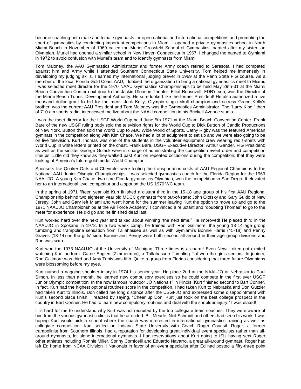become coaching both male and female gymnasts for open national and international competitions and promoting the sport of gymnastics by conducting important competitions in Miami. I opened a private gymnastics school in North Miami Beach in November of 1969 called the Muriel Grossfeld School of Gymnastics, named after my sister, an Olympian. Muriel had opened a similar school in New Haven Connecticut in 1967. I changed the named to Gymiami in 1972 to avoid confusion with Muriel's team and to identify gymnasts from Miami.

Tom Maloney, the AAU Gymnastics Administrator and former Army coach retired to Sarasota. I had competed against him and Army while I attended Southern Connecticut State University. Tom helped me immensely in developing my judging skills. I earned my international judging brevet in 1969 at the Penn State FIG course. As a member of the local Florida Gold Coast AAU, I lobbied the organization to bring a national gymnastics meet to Miami. I was selected meet director for the 1970 NAAU Gymnastics Championships to be held May 29th-31 at the Miami Beach Convention Center next door to the Jackie Gleason Theater. Elliot Roosevelt, FDR's son, was the Director of the Miami Beach Tourist Development Authority. He sure looked like the former President! He also authorized a five thousand dollar grant to bid for the meet. Jack Kelly, Olympic single skull champion and actress Grace Kelly's brother, was the current AAU President and Tom Maloney was the Gymnastics Administrator. The "Larry King," then of 710 am sports radio, interviewed me live about the NAAU competition in his Brickell Avenue studio.

I was the meet director for the USGF World Cup held June 5th 1971 at the Miami Beach Convention Center. Frank Bare of the new USGF ruling body sold the television rights for the World Cup to Dick Button of Candid Productions of New York. Button then sold the World Cup to ABC Wide World of Sports. Cathy Rigby was the featured American gymnast in the competition along with Kim Chace. We had a lot of equipment to set up and we were also going to be on live television. Kurt Thomas was one of the students in the volunteer equipment crew wearing red t-shirts with World Cup in white letters printed on the chest. Frank Bare, USGF Executive Director; Arthur Gander, FIG President; as well as the sinister George Gulack were in charge of administrating the competition event order and competition lineups. Little did they know as they walked past Kurt on repeated occasions during the competition; that they were looking at America's future gold medal World Champion.

Sponsors like Quaker Oats and Chevrolet were footing the transportation costs of AAU Regional Champions to the National AAU Junior Olympic Championships. I was selected gymnastics coach for the Florida Region for the 1969 NAAUJO. A young Kim Chace, two time Florida gymnastics Olympian, won the competition in San Diego. It elevated her to an international level competitor and a spot on the US 1970 WC team.

In the spring of 1971 fifteen year old Kurt finished a distant third in the 15-18 age group of his first AAU Regional Championship behind two eighteen year old MDCC gymnasts from out-of-state; John Olofsky and Gary Guido of New Jersey. John and Gary left Miami and went home for the summer leaving Kurt the option to move up and go to the 1971 NAAUJO Championships at the Air Force Academy. I convinced a reluctant and "doubting Thomas" to go to the meet for experience. He did go and he finished dead last!

Kurt worked hard over the next year and talked about winning "the next time." He improved! He placed third in the NAAUJO in Spokane in 1972. In a two week camp, he trained with Ron Galimore, the young 13-14 age group tumbling and trampoline sensation from Tallahassee as well as with Gymiami's Bonnie Harris (15-18) and Penny Graves (13-14) on the girls' side. Bonnie and Penny were both second all-around in their age group divisions and Ron was sixth.

Kurt won the 1973 NAAUJO at the University of Michigan. Three times is a charm! Even Newt Loken got excited watching Kurt perform. Carrie Englert (Zimmerman), a Tallahassee Tumbling Tot won the girl's seniors. In juniors, Ron Galimore was third and Amy Tubis was fifth. Quite a group from Florida considering that three future Olympians were blossoming before my eyes.

Kurt nursed a nagging shoulder injury in 1974 his senior year. He place 2nd at the NAAUJO at Nebraska to Paul Simon. In less than a month, he learned new compulsory exercises so he could compete in the first ever USGF Junior Olympic competition. In the now famous "outdoor JO Nationals" in Illinois, Kurt finished second to Bart Conner. In fact, Kurt had the highest optional routines score in the competition. I had taken Kurt to Nebraska and Don Gutzler had taken Kurt to Illinois. Don called me long distance after the USGFJO and expressed some disappointment with Kurt's second place finish. I reacted by saying, "Cheer up Don, Kurt just took on the best college prospect in the country in Bart Conner. He had to learn new compulsory routines and deal with the shoulder injury." I was elated!

It is hard for me to understand why Kurt was not recruited by the top collegiate team coaches. They were aware of him from the various gymnastic clinics that he attended. Bill Meade, Neil Schmidt and others had seen his work. I was hoping Kurt would pick a school where the coach was interested in international gymnastics training as well as collegiate competition. Kurt settled on Indiana State University with Coach Roger Counsil. Roger, a former trampolinist from Southern Illinois, had a reputation for developing great individual event specialists rather than allaround gymnasts, let alone international gymnasts. I had reservations about Kurt going to ISU having sent Roger other athletes including Ronnie Miller, Sonny Cornicelli and Eduardo Navarro, a great all-around gymnast. Roger had left Ed home from NCAA Division II Nationals in favor of an event specialist after Ed had posted a fifty-three point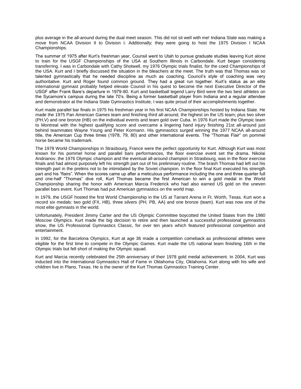plus average in the all-around during the dual meet season. This did not sit well with me! Indiana State was making a move from NCAA Division II to Division I. Additionally; they were going to host the 1975 Division I NCAA Championships.

The summer of 1975 after Kurt's freshman year, Counsil went to Utah to pursue graduate studies leaving Kurt alone to train for the USGF Championships of the USA at Southern Illinois in Carbondale. Kurt began considering transferring. I was in Carbondale with Cathy Shotwell, my 1976 Olympic trials finalist, for the coed Championships of the USA. Kurt and I briefly discussed the situation in the bleachers at the meet. The truth was that Thomas was so talented gymnastically that he needed discipline as much as coaching. Council's style of coaching was very authoritative. Kurt and Roger found common ground. They had a great run together. Kurt's status as an elite international gymnast probably helped elevate Counsil in his quest to become the next Executive Director of the USGF after Frank Bare's departure in 1979-80. Kurt and basketball legend Larry Bird were the two best athletes on the Sycamore's campus during the late 70's. Being a former basketball player from Indiana and a regular attendee and demonstrator at the Indiana State Gymnastics Institute, I was quite proud of their accomplishments together.

Kurt made parallel bar finals in 1975 his freshman year in his first NCAA Championships hosted by Indiana State. He made the 1975 Pan American Games team and finishing third all-around, the highest on the US team; plus two silver (PH,V) and one bronze (HB) on the individual events and team gold over Cuba. In 1976 Kurt made the Olympic team to Montreal with the highest qualifying score and overcame a lingering hand injury finishing 21st all-around just behind teammates Wayne Young and Peter Kormann. His gymnastics surged winning the 1977 NCAA all-around title, the American Cup three times (1978, 79, 80) and other international events. The "Thomas Flair" on pommel horse became his trademark.

The 1978 World Championships in Strasbourg, France were the perfect opportunity for Kurt. Although Kurt was most known for his pommel horse and parallel bars performances, the floor exercise event set the drama. Nikolai Andrianov, the 1976 Olympic champion and the eventual all-around champion in Strasbourg, was in the floor exercise finals and had almost purposely left his strength part out of his preliminary routine. The brash Thomas had left out his strength part in the prelims not to be intimidated by the Soviet champion. In the floor final Kurt executed his strength part and his "flairs". When the scores came up after a meticulous performance including the one and three quarter full and one-half "Thomas" dive roll, Kurt Thomas became the first American to win a gold medal in the World Championship sharing the honor with American Marcia Frederick who had also earned US gold on the uneven parallel bars event. Kurt Thomas had put American gymnastics on the world map.

In 1979, the USGF hosted the first World Championship in the US at Tarrant Arena in Ft. Worth, Texas. Kurt won a record six medals: two gold (FX, HB), three silvers (PH, PB, AA) and one bronze (team). Kurt was now one of the most elite gymnasts in the world.

Unfortunately, President Jimmy Carter and the US Olympic Committee boycotted the United States from the 1980 Moscow Olympics. Kurt made the big decision to retire and then launched a successful professional gymnastics show, the US Professional Gymnastics Classic, for over ten years which featured professional competition and entertainment.

In 1992, for the Barcelona Olympics, Kurt at age 36 made a competition comeback as professional athletes were eligible for the first time to compete in the Olympic Games. Kurt made the US national team finishing 16th in the Olympic trials but fell short of making the Olympic squad.

Kurt and Marcia recently celebrated the 25th anniversary of their 1978 gold medal achievement. In 2004, Kurt was inducted into the International Gymnastics Hall of Fame in Oklahoma City, Oklahoma. Kurt along with his wife and children live in Plano, Texas. He is the owner of the Kurt Thomas Gymnastics Training Center.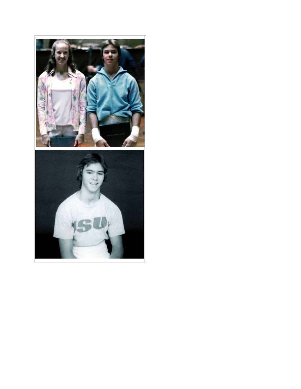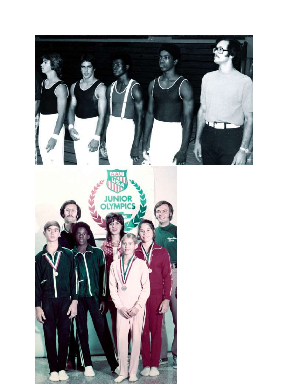